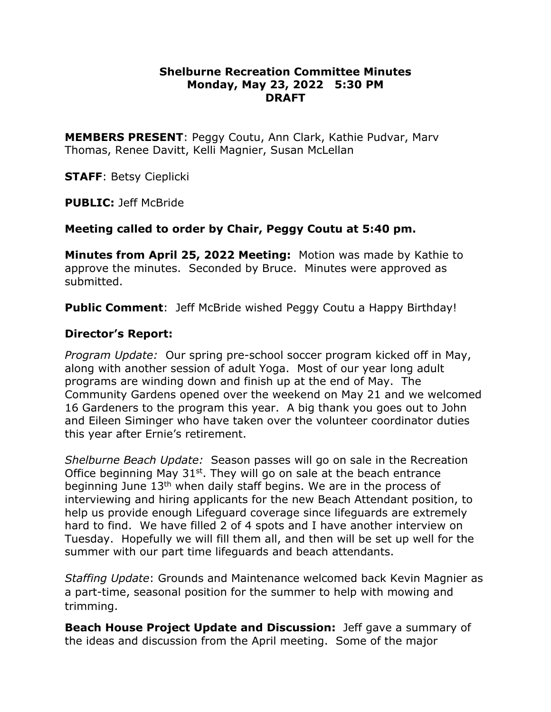## **Shelburne Recreation Committee Minutes Monday, May 23, 2022 5:30 PM DRAFT**

**MEMBERS PRESENT**: Peggy Coutu, Ann Clark, Kathie Pudvar, Marv Thomas, Renee Davitt, Kelli Magnier, Susan McLellan

**STAFF**: Betsy Cieplicki

**PUBLIC:** Jeff McBride

# **Meeting called to order by Chair, Peggy Coutu at 5:40 pm.**

**Minutes from April 25, 2022 Meeting:** Motion was made by Kathie to approve the minutes. Seconded by Bruce. Minutes were approved as submitted.

**Public Comment**: Jeff McBride wished Peggy Coutu a Happy Birthday!

# **Director's Report:**

*Program Update:* Our spring pre-school soccer program kicked off in May, along with another session of adult Yoga. Most of our year long adult programs are winding down and finish up at the end of May. The Community Gardens opened over the weekend on May 21 and we welcomed 16 Gardeners to the program this year. A big thank you goes out to John and Eileen Siminger who have taken over the volunteer coordinator duties this year after Ernie's retirement.

*Shelburne Beach Update:*Season passes will go on sale in the Recreation Office beginning May  $31<sup>st</sup>$ . They will go on sale at the beach entrance beginning June 13<sup>th</sup> when daily staff begins. We are in the process of interviewing and hiring applicants for the new Beach Attendant position, to help us provide enough Lifeguard coverage since lifeguards are extremely hard to find. We have filled 2 of 4 spots and I have another interview on Tuesday. Hopefully we will fill them all, and then will be set up well for the summer with our part time lifeguards and beach attendants.

*Staffing Update*: Grounds and Maintenance welcomed back Kevin Magnier as a part-time, seasonal position for the summer to help with mowing and trimming.

**Beach House Project Update and Discussion:** Jeff gave a summary of the ideas and discussion from the April meeting. Some of the major